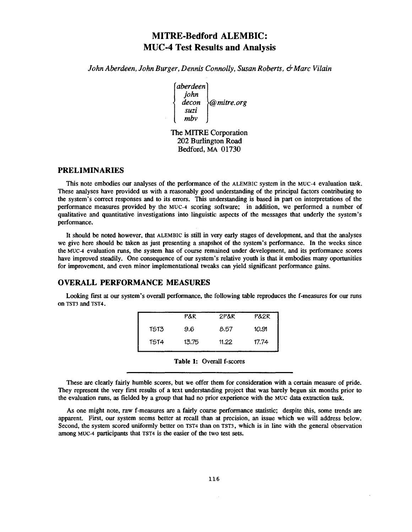# **MITRE-Bedford ALEMBIC : MUC-4 Test Results and Analysis**

*John Aberdeen, John Burger, Dennis Connolly, Susan Roberts, & Marc Vilai n*

*aberdeen john decon @ mitre. org suzi mbv*

The MITRE Corporation 202 Burlington Road Bedford, MA 01730

#### **PRELIMINARIES**

This note embodies our analyses of the performance of the ALEMBIC system in the MUC-4 evaluation task. These analyses have provided us with a reasonably good understanding of the principal factors contributing to the system's correct responses and to its errors. This understanding is based in part on interpretations of the performance measures provided by the MUC-4 scoring software; in addition, we performed a number of qualitative and quantitative investigations into linguistic aspects of the messages that underly the system 's performance.

It should be noted however, that ALEMBIC is still in very early stages of development, and that the analyses we give here should be taken as just presenting a snapshot of the system's performance. In the weeks since the MUC-4 evaluation runs, the system has of course remained under development, and its performance scores have improved steadily. One consequence of our system's relative youth is that it embodies many oportunities for improvement, and even minor implementational tweaks can yield significant performance gains .

## **OVERALL PERFORMANCE MEASURES**

Looking first at our system's overall performance, the following table reproduces the f-measures for our runs on TST3 and TST4 .

|             | P&R   | 2P&R  | P&2R  |
|-------------|-------|-------|-------|
| <b>TST3</b> | 9.6   | 8.57  | 10.91 |
| TST4        | 13.75 | 11.22 | 17.74 |

**Table 1: Overall f-scores** 

These are clearly fairly humble scores, but we offer them for consideration with a certain measure of pride . They represent the very first results of a text understanding project that was barely begun six months prior to the evaluation runs, as fielded by a group that had no prior experience with the MUC data extraction task .

As one might note, raw f-measures are a fairly coarse performance statistic; despite this, some trends are apparent. First, our system seems better at recall than at precision, an issue which we will address below . Second, the system scored uniformly better on TST4 than on TST3, which is in line with the general observation among MUC-4 participants that TST4 is the easier of the two test sets.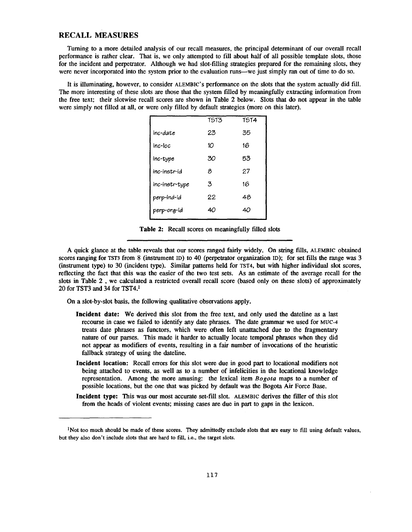#### **RECALL MEASURES**

Turning to a more detailed analysis of our recall measures, the principal determinant of our overall recal <sup>l</sup> performance is rather clear. That is, we only attempted to fill about half of all possible template slots, those for the incident and perpetrator. Although we had slot-filling strategies prepared for the remaining slots, they were never incorporated into the system prior to the evaluation runs—we just simply ran out of time to do so.

It is illuminating, however, to consider ALEMBIC's performance on the slots that the system actually did fill. The more interesting of these slots are those that the system filled by meaningfully extracting information from the free text; their slotwise recall scores are shown in Table 2 below. Slots that do not appear in the table were simply not filled at all, or were only filled by default strategies (more on this later).

|                | <b>TST3</b> | <b>TST4</b> |
|----------------|-------------|-------------|
| inc-date       | 23          | 35          |
| inc-loc        | 10          | 16          |
| inc-type       | 30          | 53          |
| inc-instr-id   | 8           | 27          |
| inc-instr-type | 3           | 16          |
| perp-ind-id    | 22          | 48          |
| perp-org-id    | 40          | 40          |
|                |             |             |

**Table** 2: Recall scores on meaningfully filled slots

A quick glance at the table reveals that our scores ranged fairly widely . On string fills, ALEMBIC obtained scores ranging for TST3 from 8 (instrument ID) to 40 (perpetrator organization ID); for set fills the range was 3 (instrument type) to 30 (incident type). Similar patterns held for TST4, but with higher individual slot scores, reflecting the fact that this was the easier of the two test sets. As an estimate of the average recall for the slots in Table 2, we calculated a restricted overall recall score (based only on these slots) of approximately 20 for TST3 and 34 for TST4.<sup>1</sup>

On a slot-by-slot basis, the following qualitative observations apply .

- **Incident date:** We derived this slot from the free text, and only used the dateline as a last recourse in case we failed to identify any date phrases. The date grammar we used for MUC-4 treats date phrases as functors, which were often left unattached due to the fragmentary nature of our parses. This made it harder to actually locate temporal phrases when they did not appear as modifiers of events, resulting in a fair number of invocations of the heuristic fallback strategy of using the dateline.
- Incident location: Recall errors for this slot were due in good part to locational modifiers not being attached to events, as well as to a number of infelicities in the locational knowledge representation. Among the more amusing: the lexical item Bogota maps to a number of possible locations, but the one that was picked by default was the Bogota Air Force Base .
- **Incident type:** This was our most accurate set-fill slot. ALEMBIC derives the filler of this slot from the heads of violent events; missing cases are due in part to gaps in the lexicon.

 $<sup>1</sup>$ Not too much should be made of these scores. They admittedly exclude slots that are easy to fill using default values,</sup> but they also don't include slots that are hard to fill, i.e., the target slots.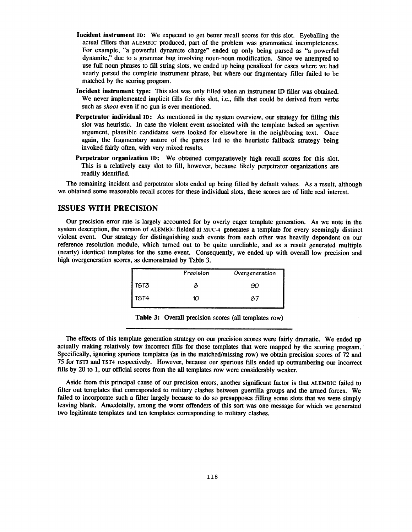- **Incident instrument** in: We expected to get better recall scores for this slot. Eyeballing the actual fillers that ALEMBIC produced, part of the problem was grammatical incompleteness . For example, "a powerful dynamite charge" ended up only being parsed as "a powerful dynamite," due to a grammar bug involving noun-noun modification . Since we attempted to use full noun phrases to fill string slots, we ended up being penalized for cases where we had nearly parsed the complete instrument phrase, but where our fragmentary filler failed to be matched by the scoring program.
- **Incident instrument type:** This slot was only filled when an instrument ID filler was obtained. We never implemented implicit fills for this slot, i.e., fills that could be derived from verbs such as *shoot* even if no gun is ever mentioned.
- **Perpetrator individual ID:** As mentioned in the system overview, our strategy for filling this slot was heuristic. In case the violent event associated with the template lacked an agentive argument, plausible candidates were looked for elsewhere in the neighboring text. Once again, the fragmentary nature of the parses led to the heuristic fallback strategy being invoked fairly often, with very mixed results.
- **Perpetrator organization ID:** We obtained comparatievely high recall scores for this slot. This is a relatively easy slot to fill, however, because likely perpetrator organizations are readily identified.

The remaining incident and perpetrator slots ended up being filled by default values. As a result, although we obtained some reasonable recall scores for these individual slots, these scores are of little real interest.

# **ISSUES WITH PRECISION**

Our precision error rate is largely accounted for by overly eager template generation . As we note in the system description, the version of ALEMBIC fielded at MUC-4 generates a template for every seemingly distinct violent event. Our strategy for distinguishing such events from each other was heavily dependent on our reference resolution module, which turned out to be quite unreliable, and as a result generated multiple (nearly) identical templates for the same event. Consequently, we ended up with overall low precision and high overgeneration scores, as demonstrated by Table 3.

|             | Precision | Overgeneration |
|-------------|-----------|----------------|
| <b>TST3</b> |           | 90             |
| <b>TST4</b> | 10        | 87             |

**Table 3:** Overall precision scores (all templates row)

The effects of this template generation strategy on our precision scores were fairly dramatic. We ended up actually making relatively few incorrect fills for those templates that were mapped by the scoring program . Specifically, ignoring spurious templates (as in the matched/missing row) we obtain precision scores of 72 and 75 for TST3 and TST4 respectively . However, because our spurious fills ended up outnumbering our incorrect fills by 20 to 1, our official scores from the all templates row were considerably weaker.

Aside from this principal cause of our precision errors, another significant factor is that ALEMBIC failed to filter out templates that corresponded to military clashes between guerrilla groups and the armed forces. We failed to incorporate such a filter largely because to do so presupposes filling some slots that we were simply leaving blank. Anecdotally, among the worst offenders of this sort was one message for which we generated two legitimate templates and ten templates corresponding to military clashes.